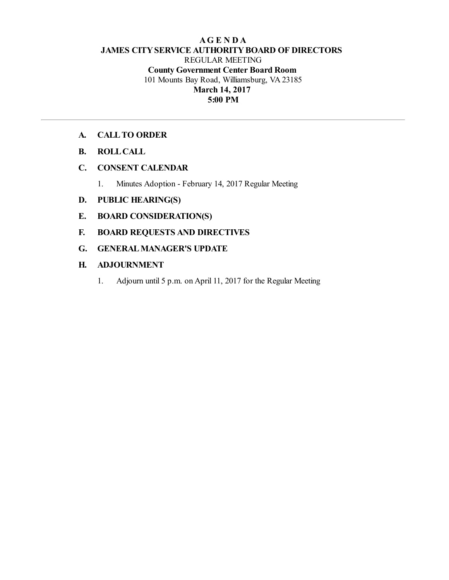## **AG E N D A JAMES CITYSERVICE AUTHORITYBOARD OF DIRECTORS** REGULAR MEETING **County Government Center Board Room** 101 Mounts Bay Road, Williamsburg, VA 23185 **March 14, 2017 5:00 PM**

## **A. CALLTO ORDER**

- **B. ROLLCALL**
- **C. CONSENT CALENDAR**
	- 1. Minutes Adoption February 14, 2017 Regular Meeting

## **D. PUBLIC HEARING(S)**

- **E. BOARD CONSIDERATION(S)**
- **F. BOARD REQUESTS AND DIRECTIVES**
- **G. GENERALMANAGER'S UPDATE**

## **H. ADJOURNMENT**

1. Adjourn until 5 p.m. on April 11, 2017 for the Regular Meeting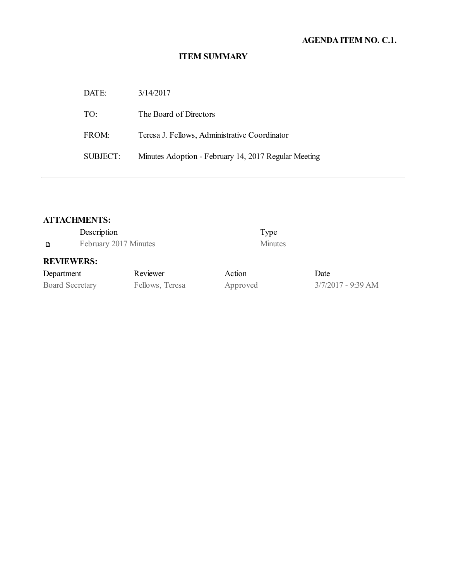# **AGENDAITEM NO. C.1.**

# **ITEM SUMMARY**

| DATE:    | 3/14/2017                                            |
|----------|------------------------------------------------------|
| TO:      | The Board of Directors                               |
| FROM:    | Teresa J. Fellows, Administrative Coordinator        |
| SUBJECT: | Minutes Adoption - February 14, 2017 Regular Meeting |

# **ATTACHMENTS:**

|                        | Description           |                 |          | Type           |                    |
|------------------------|-----------------------|-----------------|----------|----------------|--------------------|
| D                      | February 2017 Minutes |                 |          | <b>Minutes</b> |                    |
| <b>REVIEWERS:</b>      |                       |                 |          |                |                    |
| Department             |                       | Reviewer        | Action   |                | Date               |
| <b>Board Secretary</b> |                       | Fellows, Teresa | Approved |                | 3/7/2017 - 9:39 AM |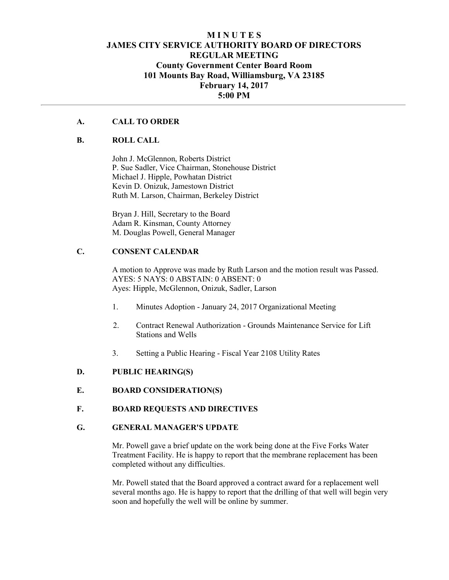## **M I N U T E S JAMES CITY SERVICE AUTHORITY BOARD OF DIRECTORS REGULAR MEETING County Government Center Board Room 101 Mounts Bay Road, Williamsburg, VA 23185 February 14, 2017 5:00 PM**

#### **A. CALL TO ORDER**

#### **B. ROLL CALL**

John J. McGlennon, Roberts District P. Sue Sadler, Vice Chairman, Stonehouse District Michael J. Hipple, Powhatan District Kevin D. Onizuk, Jamestown District Ruth M. Larson, Chairman, Berkeley District

Bryan J. Hill, Secretary to the Board Adam R. Kinsman, County Attorney M. Douglas Powell, General Manager

### **C. CONSENT CALENDAR**

A motion to Approve was made by Ruth Larson and the motion result was Passed. AYES: 5 NAYS: 0 ABSTAIN: 0 ABSENT: 0 Ayes: Hipple, McGlennon, Onizuk, Sadler, Larson

- 1. Minutes Adoption January 24, 2017 Organizational Meeting
- 2. Contract Renewal Authorization Grounds Maintenance Service for Lift Stations and Wells
- 3. Setting a Public Hearing Fiscal Year 2108 Utility Rates

#### **D. PUBLIC HEARING(S)**

**E. BOARD CONSIDERATION(S)** 

#### **F. BOARD REQUESTS AND DIRECTIVES**

#### **G. GENERAL MANAGER'S UPDATE**

Mr. Powell gave a brief update on the work being done at the Five Forks Water Treatment Facility. He is happy to report that the membrane replacement has been completed without any difficulties.

Mr. Powell stated that the Board approved a contract award for a replacement well several months ago. He is happy to report that the drilling of that well will begin very soon and hopefully the well will be online by summer.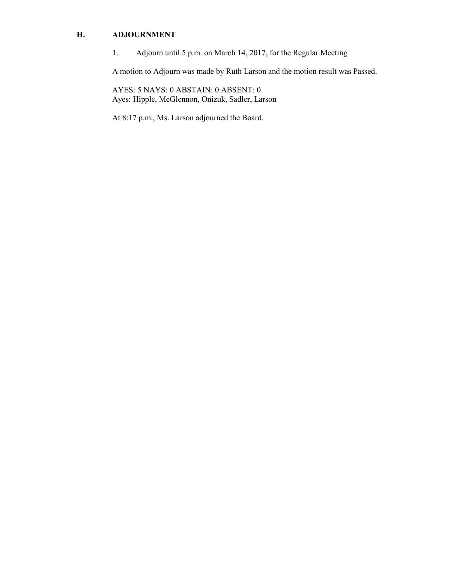## **H. ADJOURNMENT**

1. Adjourn until 5 p.m. on March 14, 2017, for the Regular Meeting

A motion to Adjourn was made by Ruth Larson and the motion result was Passed.

AYES: 5 NAYS: 0 ABSTAIN: 0 ABSENT: 0 Ayes: Hipple, McGlennon, Onizuk, Sadler, Larson

At 8:17 p.m., Ms. Larson adjourned the Board.